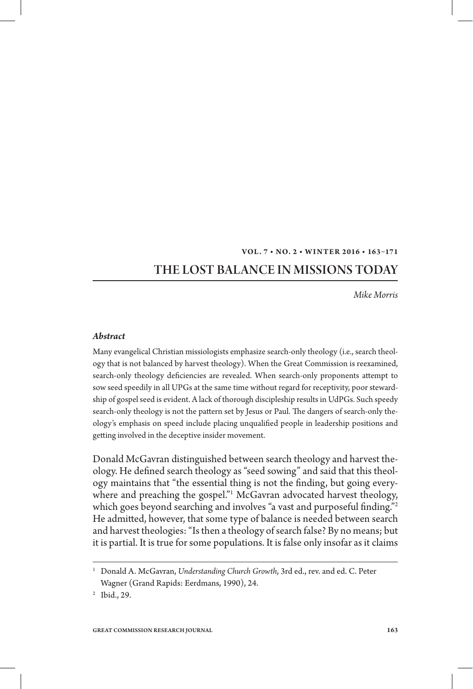#### **VOL. 7 • NO. 2 • WINT ER 2 016 • 163–171**

# THE LOST BALANCE IN MISSIONS TODAY

*Mike Morris*

#### *Abstract*

Many evangelical Christian missiologists emphasize search-only theology (i.e., search theology that is not balanced by harvest theology). When the Great Commission is reexamined, search-only theology deficiencies are revealed. When search-only proponents attempt to sow seed speedily in all UPGs at the same time without regard for receptivity, poor stewardship of gospel seed is evident. A lack of thorough discipleship results in UdPGs. Such speedy search-only theology is not the pattern set by Jesus or Paul. The dangers of search-only theology's emphasis on speed include placing unqualified people in leadership positions and getting involved in the deceptive insider movement.

Donald McGavran distinguished between search theology and harvest theology. He defined search theology as "seed sowing" and said that this theology maintains that "the essential thing is not the finding, but going everywhere and preaching the gospel."1 McGavran advocated harvest theology, which goes beyond searching and involves "a vast and purposeful finding."<sup>2</sup> He admitted, however, that some type of balance is needed between search and harvest theologies: "Is then a theology of search false? By no means; but it is partial. It is true for some populations. It is false only insofar as it claims

<sup>&</sup>lt;sup>1</sup> Donald A. McGavran, *Understanding Church Growth*, 3rd ed., rev. and ed. C. Peter Wagner (Grand Rapids: Eerdmans, 1990), 24.

<sup>2</sup> Ibid., 29.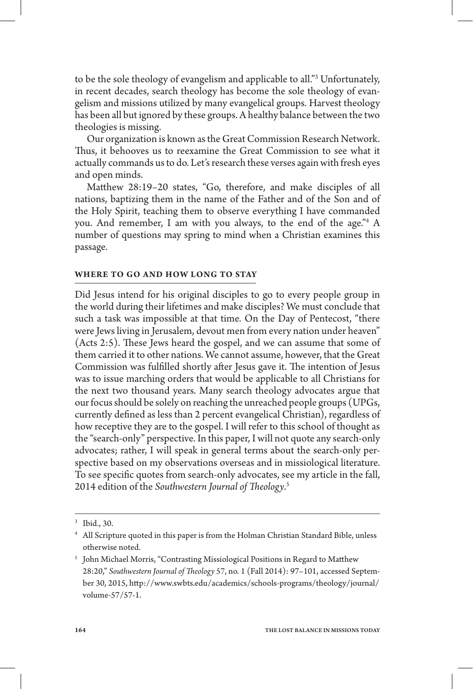to be the sole theology of evangelism and applicable to all."3 Unfortunately, in recent decades, search theology has become the sole theology of evangelism and missions utilized by many evangelical groups. Harvest theology has been all but ignored by these groups. A healthy balance between the two theologies is missing.

Our organization is known as the Great Commission Research Network. Thus, it behooves us to reexamine the Great Commission to see what it actually commands us to do. Let's research these verses again with fresh eyes and open minds.

Matthew 28:19-20 states, "Go, therefore, and make disciples of all nations, baptizing them in the name of the Father and of the Son and of the Holy Spirit, teaching them to observe everything I have commanded you. And remember, I am with you always, to the end of the age."4 A number of questions may spring to mind when a Christian examines this passage.

#### **WHERE TO GO AND HOW LONG TO STAY**

Did Jesus intend for his original disciples to go to every people group in the world during their lifetimes and make disciples? We must conclude that such a task was impossible at that time. On the Day of Pentecost, "there were Jews living in Jerusalem, devout men from every nation under heaven" (Acts  $2:5$ ). These Jews heard the gospel, and we can assume that some of them carried it to other nations. We cannot assume, however, that the Great Commission was fulfilled shortly after Jesus gave it. The intention of Jesus was to issue marching orders that would be applicable to all Christians for the next two thousand years. Many search theology advocates argue that our focus should be solely on reaching the unreached people groups (UPGs, currently defined as less than 2 percent evangelical Christian), regardless of how receptive they are to the gospel. I will refer to this school of thought as the "search-only" perspective. In this paper, I will not quote any search-only advocates; rather, I will speak in general terms about the search-only perspective based on my observations overseas and in missiological literature. To see specific quotes from search-only advocates, see my article in the fall, 2014 edition of the Southwestern Journal of Theology.<sup>s</sup>

<sup>3</sup> Ibid., 30.

<sup>4</sup> All Scripture quoted in this paper is from the Holman Christian Standard Bible, unless otherwise noted.

 $5$  John Michael Morris, "Contrasting Missiological Positions in Regard to Matthew 28:20," Southwestern Journal of Theology 57, no. 1 (Fall 2014): 97-101, accessed September 30, 2015, http://www.swbts.edu/academics/schools-programs/theology/journal/ volume-57/57-1.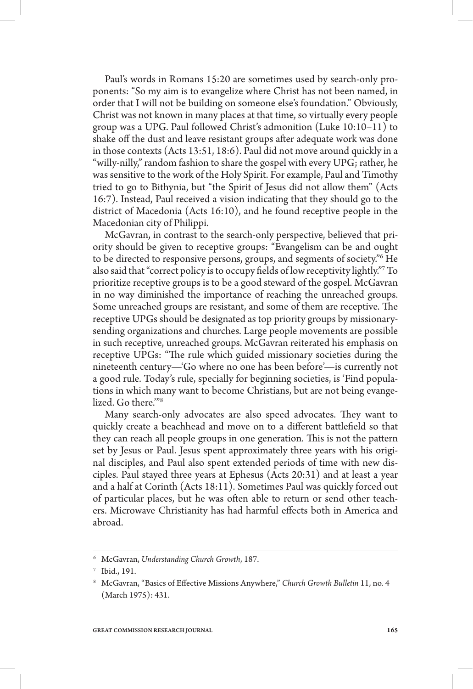Paul's words in Romans 15:20 are sometimes used by search-only proponents: "So my aim is to evangelize where Christ has not been named, in order that I will not be building on someone else's foundation." Obviously, Christ was not known in many places at that time, so virtually every people group was a UPG. Paul followed Christ's admonition (Luke 10:10–11) to shake off the dust and leave resistant groups after adequate work was done in those contexts (Acts 13:51, 18:6). Paul did not move around quickly in a "willy-nilly," random fashion to share the gospel with every UPG; rather, he was sensitive to the work of the Holy Spirit. For example, Paul and Timothy tried to go to Bithynia, but "the Spirit of Jesus did not allow them" (Acts 16:7). Instead, Paul received a vision indicating that they should go to the district of Macedonia (Acts 16:10), and he found receptive people in the Macedonian city of Philippi.

McGavran, in contrast to the search-only perspective, believed that priority should be given to receptive groups: "Evangelism can be and ought to be directed to responsive persons, groups, and segments of society."6 He also said that "correct policy is to occupy fields of low receptivity lightly." To prioritize receptive groups is to be a good steward of the gospel. McGavran in no way diminished the importance of reaching the unreached groups. Some unreached groups are resistant, and some of them are receptive. The receptive UPGs should be designated as top priority groups by missionarysending organizations and churches. Large people movements are possible in such receptive, unreached groups. McGavran reiterated his emphasis on receptive UPGs: "The rule which guided missionary societies during the nineteenth century—'Go where no one has been before'—is currently not a good rule. Today's rule, specially for beginning societies, is 'Find populations in which many want to become Christians, but are not being evangelized. Go there.'"8

Many search-only advocates are also speed advocates. They want to quickly create a beachhead and move on to a different battlefield so that they can reach all people groups in one generation. This is not the pattern set by Jesus or Paul. Jesus spent approximately three years with his original disciples, and Paul also spent extended periods of time with new disciples. Paul stayed three years at Ephesus (Acts 20:31) and at least a year and a half at Corinth (Acts 18:11). Sometimes Paul was quickly forced out of particular places, but he was often able to return or send other teachers. Microwave Christianity has had harmful effects both in America and abroad.

<sup>6</sup> McGavran, *Understanding Church Growth*, 187.

<sup>7</sup> Ibid., 191.

<sup>&</sup>lt;sup>8</sup> McGavran, "Basics of Effective Missions Anywhere," Church Growth Bulletin 11, no. 4 (March 1975): 431.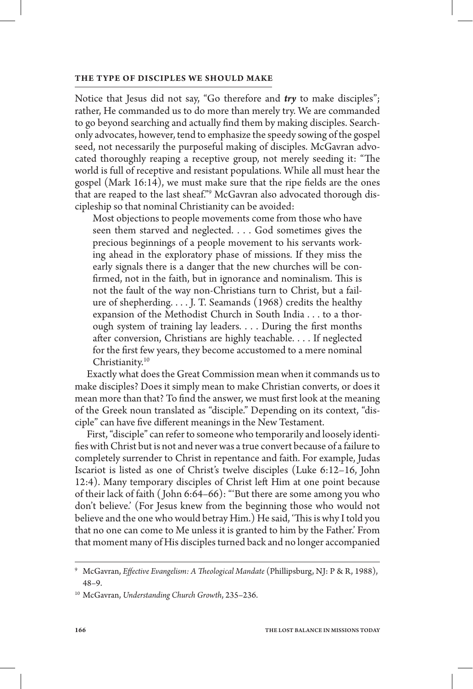Notice that Jesus did not say, "Go therefore and *try* to make disciples"; rather, He commanded us to do more than merely try. We are commanded to go beyond searching and actually find them by making disciples. Searchonly advocates, however, tend to emphasize the speedy sowing of the gospel seed, not necessarily the purposeful making of disciples. McGavran advocated thoroughly reaping a receptive group, not merely seeding it: "The world is full of receptive and resistant populations. While all must hear the gospel (Mark  $16:14$ ), we must make sure that the ripe fields are the ones that are reaped to the last sheaf."9 McGavran also advocated thorough discipleship so that nominal Christianity can be avoided:

Most objections to people movements come from those who have seen them starved and neglected. . . . God sometimes gives the precious beginnings of a people movement to his servants working ahead in the exploratory phase of missions. If they miss the early signals there is a danger that the new churches will be con firmed, not in the faith, but in ignorance and nominalism. This is not the fault of the way non-Christians turn to Christ, but a failure of shepherding.  $\dots$  J. T. Seamands (1968) credits the healthy expansion of the Methodist Church in South India . . . to a thorough system of training lay leaders. . . . During the first months after conversion, Christians are highly teachable. . . . If neglected for the first few years, they become accustomed to a mere nominal Christianity.10

Exactly what does the Great Commission mean when it commands us to make disciples? Does it simply mean to make Christian converts, or does it mean more than that? To find the answer, we must first look at the meaning of the Greek noun translated as "disciple." Depending on its context, "disciple" can have five different meanings in the New Testament.

First, "disciple" can refer to someone who temporarily and loosely identi fies with Christ but is not and never was a true convert because of a failure to completely surrender to Christ in repentance and faith. For example, Judas Iscariot is listed as one of Christ's twelve disciples (Luke 6:12–16, John 12:4). Many temporary disciples of Christ le¢ Him at one point because of their lack of faith ( John 6:64–66): "'But there are some among you who don't believe.' (For Jesus knew from the beginning those who would not believe and the one who would betray Him.) He said, 'This is why I told you that no one can come to Me unless it is granted to him by the Father.' From that moment many of His disciples turned back and no longer accompanied

<sup>&</sup>lt;sup>9</sup> McGavran, *Effective Evangelism: A Theological Mandate* (Phillipsburg, NJ: P & R, 1988), 48–9.

<sup>10</sup> McGavran, *Understanding Church Growth*, 235–236.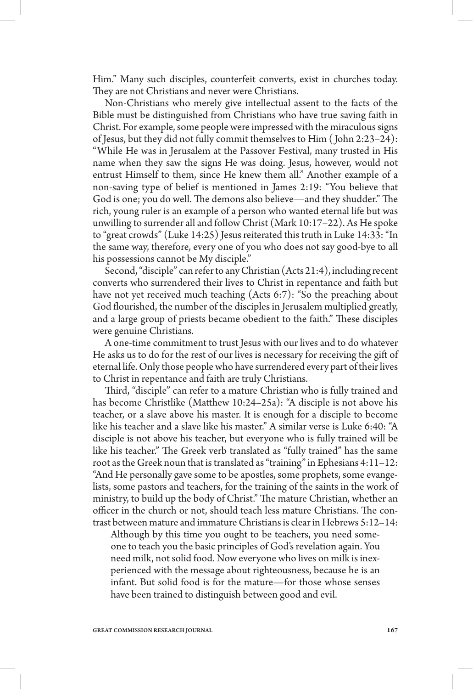Him." Many such disciples, counterfeit converts, exist in churches today. They are not Christians and never were Christians.

Non-Christians who merely give intellectual assent to the facts of the Bible must be distinguished from Christians who have true saving faith in Christ. For example, some people were impressed with the miraculous signs of Jesus, but they did not fully commit themselves to Him ( John 2:23–24): "While He was in Jerusalem at the Passover Festival, many trusted in His name when they saw the signs He was doing. Jesus, however, would not entrust Himself to them, since He knew them all." Another example of a non-saving type of belief is mentioned in James 2:19: "You believe that God is one; you do well. The demons also believe—and they shudder." The rich, young ruler is an example of a person who wanted eternal life but was unwilling to surrender all and follow Christ (Mark 10:17–22). As He spoke to "great crowds" (Luke 14:25) Jesus reiterated this truth in Luke 14:33: "In the same way, therefore, every one of you who does not say good-bye to all his possessions cannot be My disciple."

Second, "disciple" can refer to any Christian (Acts 21:4), including recent converts who surrendered their lives to Christ in repentance and faith but have not yet received much teaching (Acts 6:7): "So the preaching about God flourished, the number of the disciples in Jerusalem multiplied greatly, and a large group of priests became obedient to the faith." These disciples were genuine Christians.

A one-time commitment to trust Jesus with our lives and to do whatever He asks us to do for the rest of our lives is necessary for receiving the gift of eternal life. Only those people who have surrendered every part of their lives to Christ in repentance and faith are truly Christians.

Third, "disciple" can refer to a mature Christian who is fully trained and has become Christlike (Matthew 10:24-25a): "A disciple is not above his teacher, or a slave above his master. It is enough for a disciple to become like his teacher and a slave like his master." A similar verse is Luke 6:40: "A disciple is not above his teacher, but everyone who is fully trained will be like his teacher." The Greek verb translated as "fully trained" has the same root as the Greek noun that is translated as "training" in Ephesians 4:11–12: "And He personally gave some to be apostles, some prophets, some evangelists, some pastors and teachers, for the training of the saints in the work of ministry, to build up the body of Christ." The mature Christian, whether an officer in the church or not, should teach less mature Christians. The contrast between mature and immature Christians is clear in Hebrews 5:12–14:

Although by this time you ought to be teachers, you need someone to teach you the basic principles of God's revelation again. You need milk, not solid food. Now everyone who lives on milk is inexperienced with the message about righteousness, because he is an infant. But solid food is for the mature—for those whose senses have been trained to distinguish between good and evil.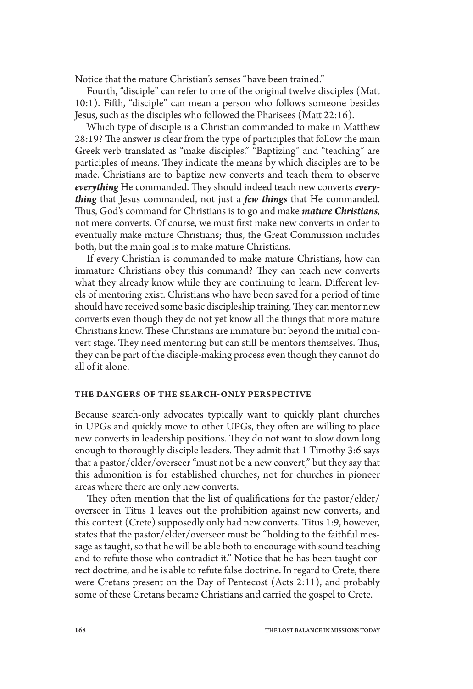Notice that the mature Christian's senses "have been trained."

Fourth, "disciple" can refer to one of the original twelve disciples (Ma 10:1). Fi¢h, "disciple" can mean a person who follows someone besides Jesus, such as the disciples who followed the Pharisees (Matt  $22:16$ ).

Which type of disciple is a Christian commanded to make in Matthew 28:19? The answer is clear from the type of participles that follow the main Greek verb translated as "make disciples." "Baptizing" and "teaching" are participles of means. They indicate the means by which disciples are to be made. Christians are to baptize new converts and teach them to observe everything He commanded. They should indeed teach new converts *everything* that Jesus commanded, not just a *few things* that He commanded. Thus, God's command for Christians is to go and make *mature Christians*, not mere converts. Of course, we must first make new converts in order to eventually make mature Christians; thus, the Great Commission includes both, but the main goal is to make mature Christians.

If every Christian is commanded to make mature Christians, how can immature Christians obey this command? They can teach new converts what they already know while they are continuing to learn. Different levels of mentoring exist. Christians who have been saved for a period of time should have received some basic discipleship training. They can mentor new converts even though they do not yet know all the things that more mature Christians know. These Christians are immature but beyond the initial convert stage. They need mentoring but can still be mentors themselves. Thus, they can be part of the disciple-making process even though they cannot do all of it alone.

#### **THE DANGERS OF THE SEARCH-ONLY PERSPECTIVE**

Because search-only advocates typically want to quickly plant churches in UPGs and quickly move to other UPGs, they often are willing to place new converts in leadership positions. They do not want to slow down long enough to thoroughly disciple leaders. They admit that 1 Timothy 3:6 says that a pastor/elder/overseer "must not be a new convert," but they say that this admonition is for established churches, not for churches in pioneer areas where there are only new converts.

They often mention that the list of qualifications for the pastor/elder/ overseer in Titus 1 leaves out the prohibition against new converts, and this context (Crete) supposedly only had new converts. Titus 1:9, however, states that the pastor/elder/overseer must be "holding to the faithful message as taught, so that he will be able both to encourage with sound teaching and to refute those who contradict it." Notice that he has been taught correct doctrine, and he is able to refute false doctrine. In regard to Crete, there were Cretans present on the Day of Pentecost (Acts 2:11), and probably some of these Cretans became Christians and carried the gospel to Crete.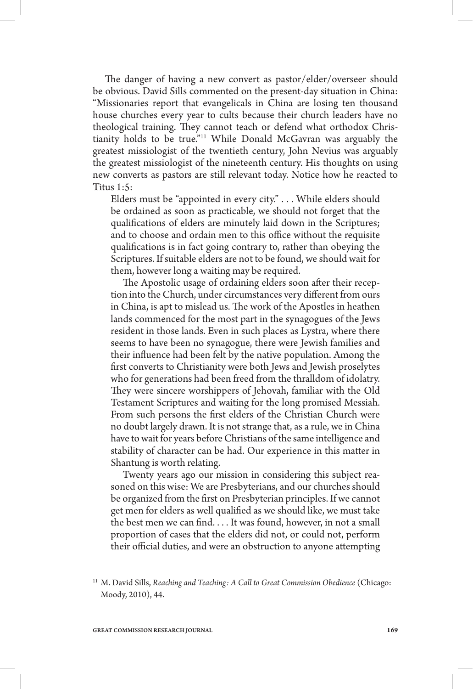The danger of having a new convert as pastor/elder/overseer should be obvious. David Sills commented on the present-day situation in China: "Missionaries report that evangelicals in China are losing ten thousand house churches every year to cults because their church leaders have no theological training. They cannot teach or defend what orthodox Christianity holds to be true."11 While Donald McGavran was arguably the greatest missiologist of the twentieth century, John Nevius was arguably the greatest missiologist of the nineteenth century. His thoughts on using new converts as pastors are still relevant today. Notice how he reacted to Titus 1:5:

Elders must be "appointed in every city." . . . While elders should be ordained as soon as practicable, we should not forget that the qualifications of elders are minutely laid down in the Scriptures; and to choose and ordain men to this office without the requisite qualifications is in fact going contrary to, rather than obeying the Scriptures. If suitable elders are not to be found, we should wait for them, however long a waiting may be required.

The Apostolic usage of ordaining elders soon after their reception into the Church, under circumstances very different from ours in China, is apt to mislead us. The work of the Apostles in heathen lands commenced for the most part in the synagogues of the Jews resident in those lands. Even in such places as Lystra, where there seems to have been no synagogue, there were Jewish families and their influence had been felt by the native population. Among the first converts to Christianity were both Jews and Jewish proselytes who for generations had been freed from the thralldom of idolatry. They were sincere worshippers of Jehovah, familiar with the Old Testament Scriptures and waiting for the long promised Messiah. From such persons the first elders of the Christian Church were no doubt largely drawn. It is not strange that, as a rule, we in China have to wait for years before Christians of the same intelligence and stability of character can be had. Our experience in this matter in Shantung is worth relating.

Twenty years ago our mission in considering this subject reasoned on this wise: We are Presbyterians, and our churches should be organized from the first on Presbyterian principles. If we cannot get men for elders as well qualified as we should like, we must take the best men we can find.... It was found, however, in not a small proportion of cases that the elders did not, or could not, perform their official duties, and were an obstruction to anyone attempting

<sup>11</sup> M. David Sills, *Reaching and Teaching: A Call to Great Commission Obedience* (Chicago: Moody, 2010), 44.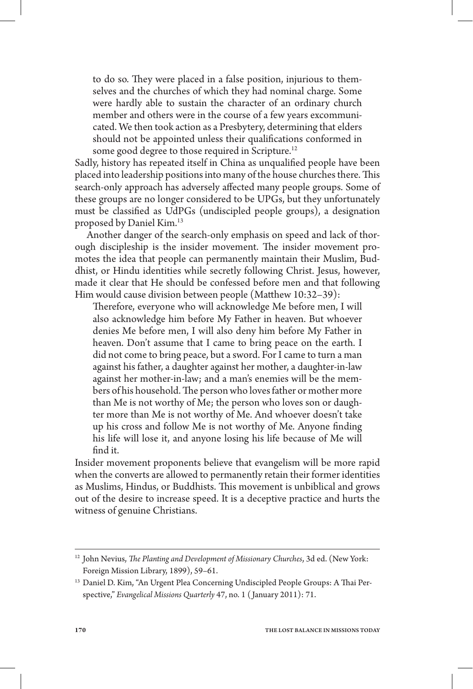to do so. They were placed in a false position, injurious to themselves and the churches of which they had nominal charge. Some were hardly able to sustain the character of an ordinary church member and others were in the course of a few years excommunicated. We then took action as a Presbytery, determining that elders should not be appointed unless their qualifications conformed in some good degree to those required in Scripture.<sup>12</sup>

Sadly, history has repeated itself in China as unqualified people have been placed into leadership positions into many of the house churches there. This search-only approach has adversely affected many people groups. Some of these groups are no longer considered to be UPGs, but they unfortunately must be classified as UdPGs (undiscipled people groups), a designation proposed by Daniel Kim.13

Another danger of the search-only emphasis on speed and lack of thorough discipleship is the insider movement. The insider movement promotes the idea that people can permanently maintain their Muslim, Buddhist, or Hindu identities while secretly following Christ. Jesus, however, made it clear that He should be confessed before men and that following Him would cause division between people (Matthew 10:32-39):

Therefore, everyone who will acknowledge Me before men, I will also acknowledge him before My Father in heaven. But whoever denies Me before men, I will also deny him before My Father in heaven. Don't assume that I came to bring peace on the earth. I did not come to bring peace, but a sword. For I came to turn a man against his father, a daughter against her mother, a daughter-in-law against her mother-in-law; and a man's enemies will be the members of his household. The person who loves father or mother more than Me is not worthy of Me; the person who loves son or daughter more than Me is not worthy of Me. And whoever doesn't take up his cross and follow Me is not worthy of Me. Anyone finding his life will lose it, and anyone losing his life because of Me will find it.

Insider movement proponents believe that evangelism will be more rapid when the converts are allowed to permanently retain their former identities as Muslims, Hindus, or Buddhists. This movement is unbiblical and grows out of the desire to increase speed. It is a deceptive practice and hurts the witness of genuine Christians.

<sup>&</sup>lt;sup>12</sup> John Nevius, *The Planting and Development of Missionary Churches*, 3d ed. (New York: Foreign Mission Library, 1899), 59–61.

<sup>&</sup>lt;sup>13</sup> Daniel D. Kim, "An Urgent Plea Concerning Undiscipled People Groups: A Thai Perspective," *Evangelical Missions Quarterly* 47, no. 1 ( January 2011): 71.